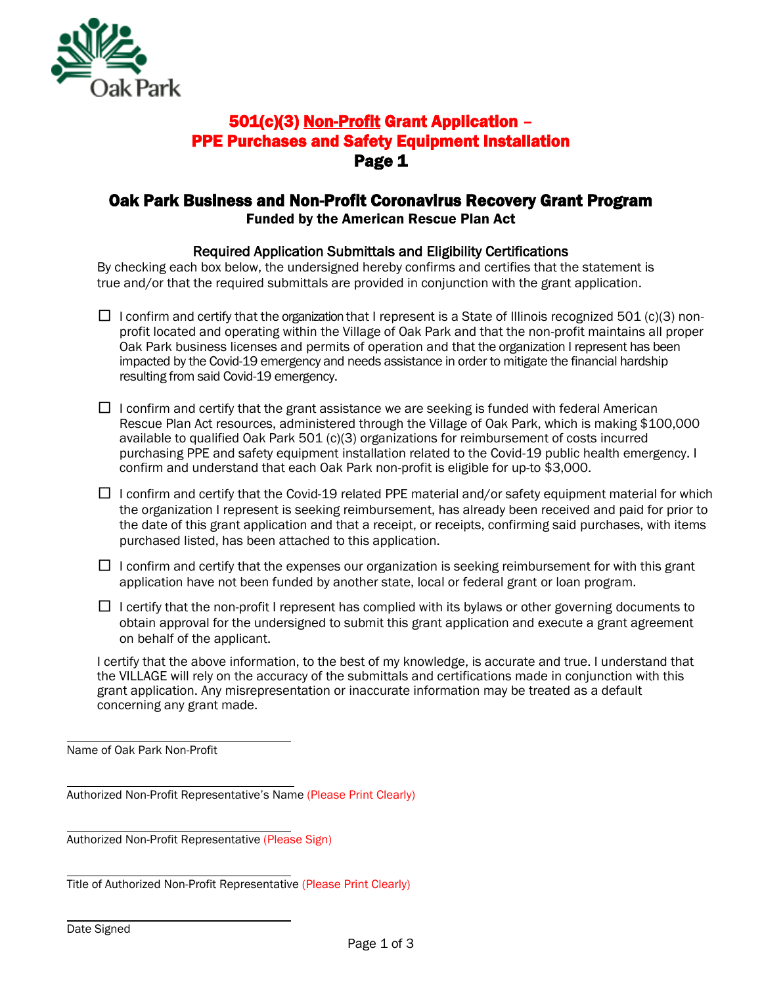

### 501(c)(3) Non-Profit Grant Application – PPE Purchases and Safety Equipment Installation Page 1

#### Oak Park Business and Non-Profit Coronavirus Recovery Grant Program Funded by the American Rescue Plan Act

#### Required Application Submittals and Eligibility Certifications

By checking each box below, the undersigned hereby confirms and certifies that the statement is true and/or that the required submittals are provided in conjunction with the grant application.

- $\Box$  I confirm and certify that the organization that I represent is a State of Illinois recognized 501 (c)(3) nonprofit located and operating within the Village of Oak Park and that the non-profit maintains all proper Oak Park business licenses and permits of operation and that the organization I represent has been impacted by the Covid-19 emergency and needs assistance in order to mitigate the financial hardship resulting from said Covid-19 emergency.
- $\Box$  I confirm and certify that the grant assistance we are seeking is funded with federal American Rescue Plan Act resources, administered through the Village of Oak Park, which is making \$100,000 available to qualified Oak Park 501 (c)(3) organizations for reimbursement of costs incurred purchasing PPE and safety equipment installation related to the Covid-19 public health emergency. I confirm and understand that each Oak Park non-profit is eligible for up-to \$3,000.
- $\Box$  I confirm and certify that the Covid-19 related PPE material and/or safety equipment material for which the organization I represent is seeking reimbursement, has already been received and paid for prior to the date of this grant application and that a receipt, or receipts, confirming said purchases, with items purchased listed, has been attached to this application.
- $\Box$  I confirm and certify that the expenses our organization is seeking reimbursement for with this grant application have not been funded by another state, local or federal grant or loan program.
- $\Box$  I certify that the non-profit I represent has complied with its bylaws or other governing documents to obtain approval for the undersigned to submit this grant application and execute a grant agreement on behalf of the applicant.

I certify that the above information, to the best of my knowledge, is accurate and true. I understand that the VILLAGE will rely on the accuracy of the submittals and certifications made in conjunction with this grant application. Any misrepresentation or inaccurate information may be treated as a default concerning any grant made.

Name of Oak Park Non-Profit

Authorized Non-Profit Representative's Name (Please Print Clearly)

Authorized Non-Profit Representative (Please Sign)

Title of Authorized Non-Profit Representative (Please Print Clearly)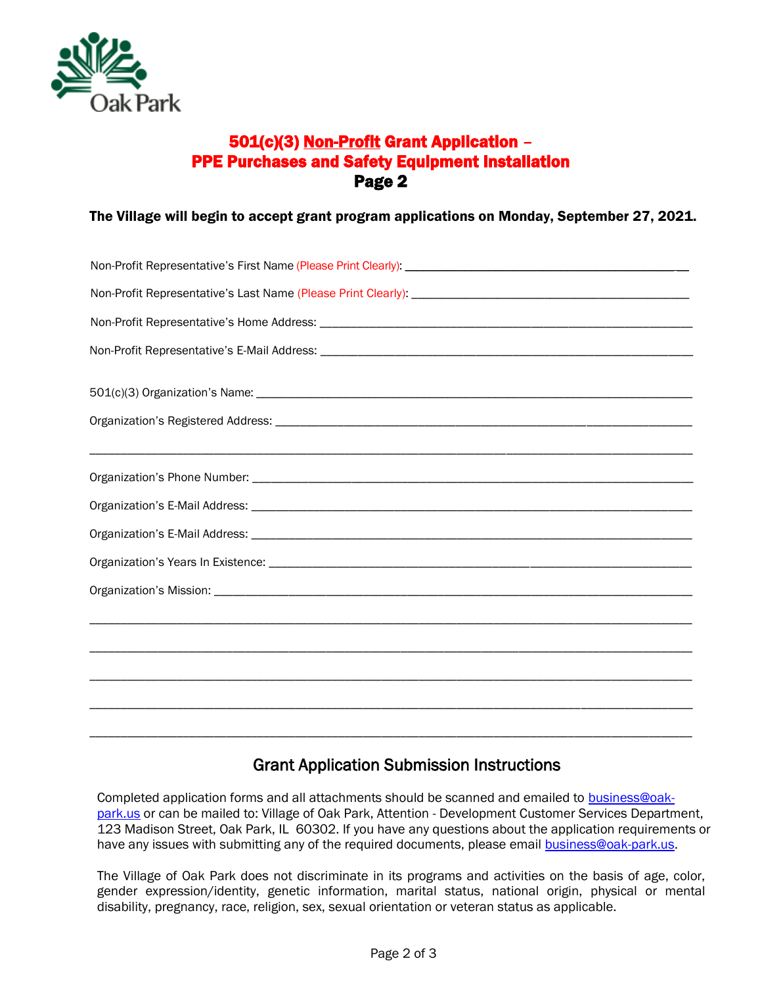

# 501(c)(3) Non-Profit Grant Application – PPE Purchases and Safety Equipment Installation Page 2

The Village will begin to accept grant program applications on Monday, September 27, 2021.

# Grant Application Submission Instructions

Completed application forms and all attachments should be scanned and emailed to [business@oak](mailto:business@oak-park.us)[park.us](mailto:business@oak-park.us) or can be mailed to: Village of Oak Park, Attention - Development Customer Services Department, 123 Madison Street, Oak Park, IL 60302. If you have any questions about the application requirements or have any issues with submitting any of the required documents, please email [business@oak-park.us.](mailto:business@oak-park.us)

The Village of Oak Park does not discriminate in its programs and activities on the basis of age, color, gender expression/identity, genetic information, marital status, national origin, physical or mental disability, pregnancy, race, religion, sex, sexual orientation or veteran status as applicable.